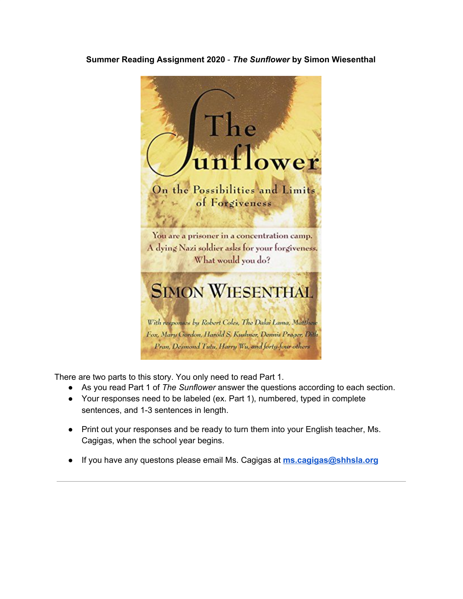#### **Summer Reading Assignment 2020** - *The Sunflower* **by Simon Wiesenthal**



There are two parts to this story. You only need to read Part 1.

- As you read Part 1 of *The Sunflower* answer the questions according to each section.
- Your responses need to be labeled (ex. Part 1), numbered, typed in complete sentences, and 1-3 sentences in length.
- Print out your responses and be ready to turn them into your English teacher, Ms. Cagigas, when the school year begins.
- If you have any questons please email Ms. Cagigas at **[ms.cagigas@shhsla.org](mailto:ms.cagigas@shhsla.org)**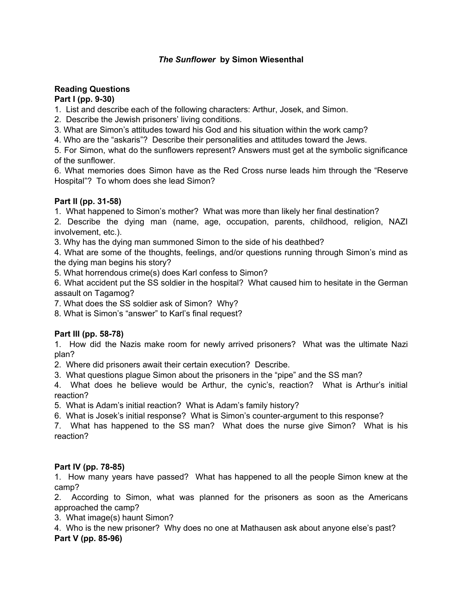### *The Sunflower* **by Simon Wiesenthal**

## **Reading Questions**

### **Part I (pp. 9-30)**

1. List and describe each of the following characters: Arthur, Josek, and Simon.

2. Describe the Jewish prisoners' living conditions.

3. What are Simon's attitudes toward his God and his situation within the work camp?

4. Who are the "askaris"? Describe their personalities and attitudes toward the Jews.

5. For Simon, what do the sunflowers represent? Answers must get at the symbolic significance of the sunflower.

6. What memories does Simon have as the Red Cross nurse leads him through the "Reserve Hospital"? To whom does she lead Simon?

## **Part II (pp. 31-58)**

1. What happened to Simon's mother? What was more than likely her final destination?

2. Describe the dying man (name, age, occupation, parents, childhood, religion, NAZI involvement, etc.).

3. Why has the dying man summoned Simon to the side of his deathbed?

4. What are some of the thoughts, feelings, and/or questions running through Simon's mind as the dying man begins his story?

5. What horrendous crime(s) does Karl confess to Simon?

6. What accident put the SS soldier in the hospital? What caused him to hesitate in the German assault on Tagamog?

7. What does the SS soldier ask of Simon? Why?

8. What is Simon's "answer" to Karl's final request?

# **Part III (pp. 58-78)**

1. How did the Nazis make room for newly arrived prisoners? What was the ultimate Nazi plan?

2. Where did prisoners await their certain execution? Describe.

3. What questions plague Simon about the prisoners in the "pipe" and the SS man?

4. What does he believe would be Arthur, the cynic's, reaction? What is Arthur's initial reaction?

5. What is Adam's initial reaction? What is Adam's family history?

6. What is Josek's initial response? What is Simon's counter-argument to this response?

7. What has happened to the SS man? What does the nurse give Simon? What is his reaction?

# **Part IV (pp. 78-85)**

1. How many years have passed? What has happened to all the people Simon knew at the camp?

2. According to Simon, what was planned for the prisoners as soon as the Americans approached the camp?

3. What image(s) haunt Simon?

4. Who is the new prisoner? Why does no one at Mathausen ask about anyone else's past? **Part V (pp. 85-96)**